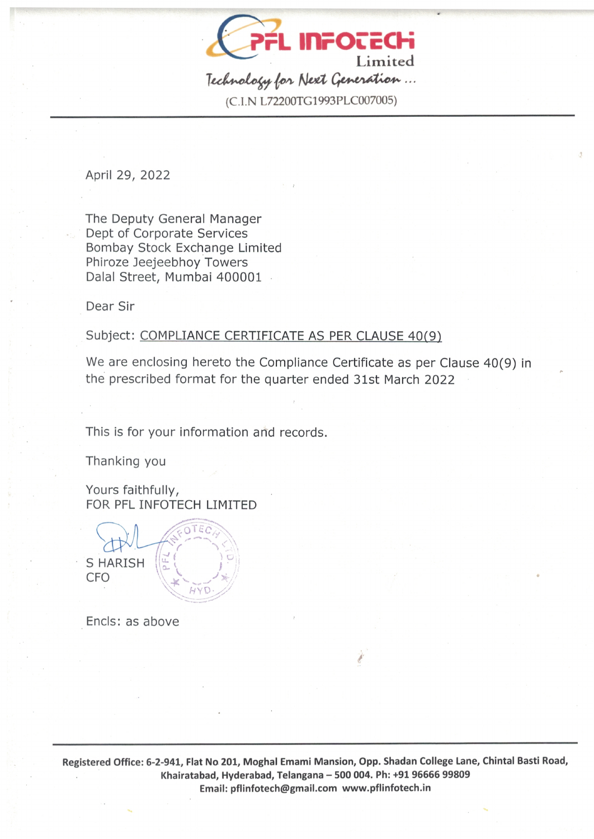

(C.1. N 1-72200TG1 993PLC007005)

April 29, 2022

The Deputy General Manager Dept of Corporate Services Bombay Stock Exchange Limited Phiroze Jeejeebhoy Towers Dalal Street, Mumbai 400001

Dear Sir

## Subject: COMPLIANCE CERTIFICATE AS PER CLAUSE 40(9)

We are enclosing hereto the Compliance Certificate as per Clause 40(9) in the prescribed format for the quarter ended 31st March 2022

This is for your information and records.

r e c

 $H$  Y  $D$ 

Thanking you

Yours faithfully, FOR PFL INFOTECH LIMITED

**S HARISH** CFO

Encls: as above